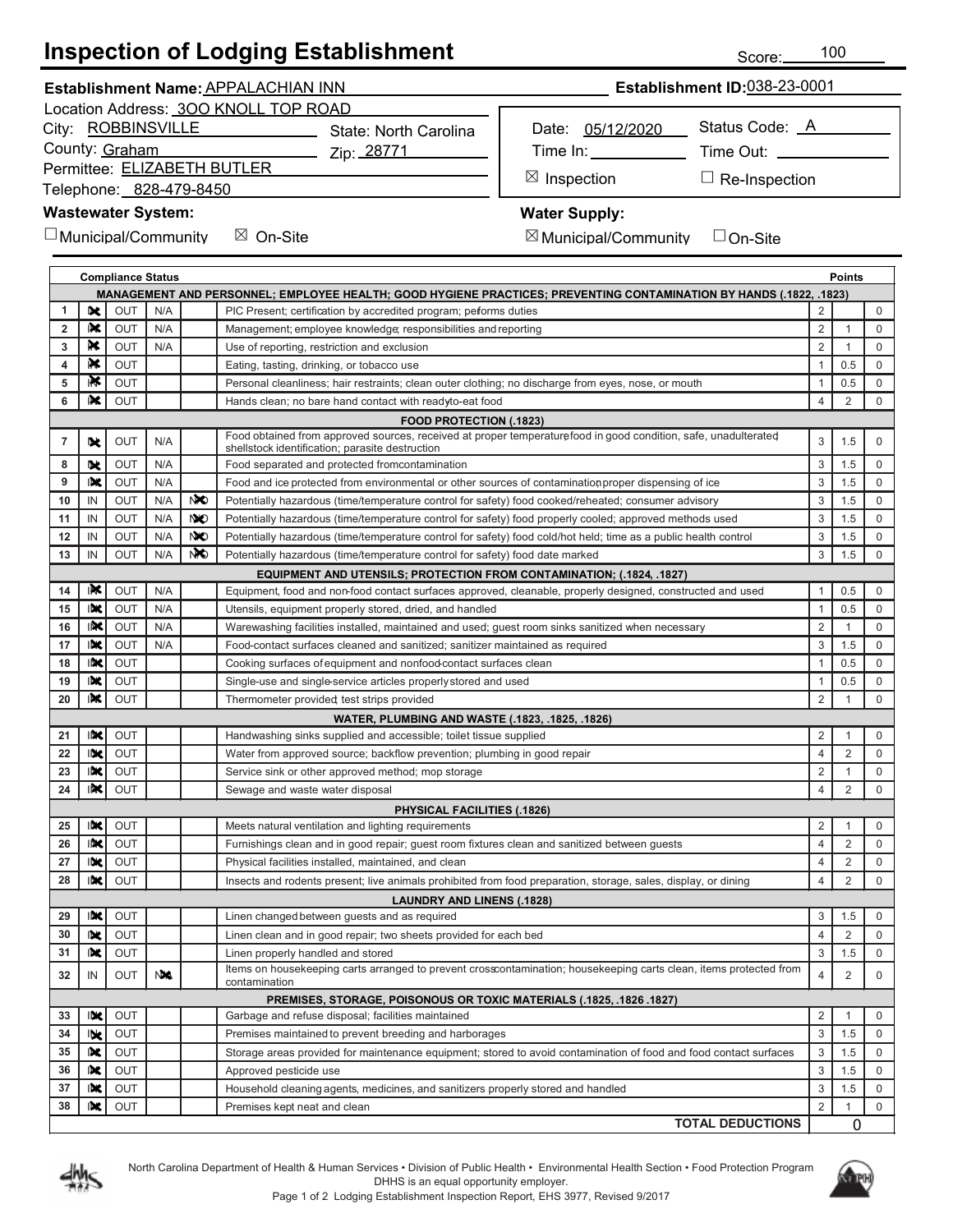# **Inspection of Lodging Establishment**

| Establishment Name: APPALACHIAN INN | <b>Establishment ID:038-23-0001</b> |
|-------------------------------------|-------------------------------------|
|                                     |                                     |

Location Address: 300 KNOLL TOP ROAD

City: ROBBINSVILLE

County: Graham

Permittee: ELIZABETH BUTLER

Telephone: 828-479-8450

### **Wastewater System:**

 $\Box$  Municipal/Community  $\boxtimes$  On-Site  $\boxtimes$   $\subset$ 

Zip: <u>28771</u>

State: North Carolina

Time In: Time Out: \_

⊠ Ir

Inspection □ Re-Inspection

### **Water Supply:**

 $\boxtimes$  Municipal/Community  $\quad \Box$  On-Site

Date: 05/12/2020

| ∶ommunitv | $\Box$ On-Site |
|-----------|----------------|
|           |                |

|    | <b>Compliance Status</b><br><b>Points</b>                                                                           |            |           |                 |                                                                                                                                                                   |                |                |             |
|----|---------------------------------------------------------------------------------------------------------------------|------------|-----------|-----------------|-------------------------------------------------------------------------------------------------------------------------------------------------------------------|----------------|----------------|-------------|
|    | MANAGEMENT AND PERSONNEL; EMPLOYEE HEALTH; GOOD HYGIENE PRACTICES; PREVENTING CONTAMINATION BY HANDS (.1822, .1823) |            |           |                 |                                                                                                                                                                   |                |                |             |
| 1  | 吠                                                                                                                   | <b>OUT</b> | N/A       |                 | PIC Present; certification by accredited program; peforms duties                                                                                                  | $\overline{2}$ |                | $\mathbf 0$ |
| 2  | IX.                                                                                                                 | <b>OUT</b> | N/A       |                 | Management; employee knowledge; responsibilities and reporting                                                                                                    | 2              | 1              | $\mathbf 0$ |
| 3  | ĸ                                                                                                                   | <b>OUT</b> | N/A       |                 | Use of reporting, restriction and exclusion                                                                                                                       | $\overline{2}$ | 1              | $\mathbf 0$ |
| 4  | R€                                                                                                                  | <b>OUT</b> |           |                 | Eating, tasting, drinking, or tobacco use                                                                                                                         | $\mathbf{1}$   | 0.5            | $\mathbf 0$ |
| 5  | ıК                                                                                                                  | OUT        |           |                 | Personal cleanliness; hair restraints; clean outer clothing; no discharge from eyes, nose, or mouth                                                               | $\mathbf{1}$   | 0.5            | 0           |
| 6  | IX.                                                                                                                 | <b>OUT</b> |           |                 | Hands clean; no bare hand contact with readyto-eat food                                                                                                           | $\overline{4}$ | 2              | $\mathbf 0$ |
|    |                                                                                                                     |            |           |                 | <b>FOOD PROTECTION (.1823)</b>                                                                                                                                    |                |                |             |
| 7  | 叱                                                                                                                   | <b>OUT</b> | N/A       |                 | Food obtained from approved sources, received at proper temperaturefood in good condition, safe, unadulterated<br>shellstock identification; parasite destruction | 3              | 1.5            | $\mathbf 0$ |
| 8  | IX.                                                                                                                 | <b>OUT</b> | N/A       |                 | Food separated and protected fromcontamination                                                                                                                    | 3              | 1.5            | $\mathbf 0$ |
| 9  | IX                                                                                                                  | <b>OUT</b> | N/A       |                 | Food and ice protected from environmental or other sources of contamination proper dispensing of ice                                                              | 3              | 1.5            | $\mathbf 0$ |
| 10 | IN                                                                                                                  | <b>OUT</b> | N/A       | NO.             | Potentially hazardous (time/temperature control for safety) food cooked/reheated; consumer advisory                                                               | 3              | 1.5            | $\mathbf 0$ |
| 11 | IN                                                                                                                  | <b>OUT</b> | N/A       | NO <sub>1</sub> | Potentially hazardous (time/temperature control for safety) food properly cooled; approved methods used                                                           | 3              | 1.5            | $\mathsf 0$ |
| 12 | IN                                                                                                                  | <b>OUT</b> | N/A       | <b>NO</b>       | Potentially hazardous (time/temperature control for safety) food cold/hot held; time as a public health control                                                   | 3              | 1.5            | $\mathsf 0$ |
| 13 | IN                                                                                                                  | OUT        | N/A       | NO.             | Potentially hazardous (time/temperature control for safety) food date marked                                                                                      | 3              | 1.5            | $\mathsf 0$ |
|    |                                                                                                                     |            |           |                 | <b>EQUIPMENT AND UTENSILS; PROTECTION FROM CONTAMINATION; (.1824, .1827)</b>                                                                                      |                |                |             |
| 14 | IÑ                                                                                                                  | OUT        | N/A       |                 | Equipment, food and non-food contact surfaces approved, cleanable, properly designed, constructed and used                                                        | $\mathbf{1}$   | 0.5            | $\mathbf 0$ |
| 15 | INC                                                                                                                 | OUT        | N/A       |                 | Utensils, equipment properly stored, dried, and handled                                                                                                           | $\mathbf{1}$   | 0.5            | $\mathbf 0$ |
| 16 | INC                                                                                                                 | <b>OUT</b> | N/A       |                 | Warewashing facilities installed, maintained and used; guest room sinks sanitized when necessary                                                                  | $\overline{2}$ | 1              | $\mathbf 0$ |
| 17 | INC                                                                                                                 | OUT        | N/A       |                 | Food-contact surfaces cleaned and sanitized; sanitizer maintained as required                                                                                     | 3              | 1.5            | $\mathbf 0$ |
| 18 | INC                                                                                                                 | OUT        |           |                 | Cooking surfaces of equipment and nonfood contact surfaces clean                                                                                                  | $\mathbf{1}$   | 0.5            | $\mathbf 0$ |
| 19 | INC                                                                                                                 | <b>OUT</b> |           |                 | Single-use and single-service articles properly stored and used                                                                                                   | $\mathbf{1}$   | 0.5            | 0           |
| 20 | INC                                                                                                                 | <b>OUT</b> |           |                 | Thermometer provided test strips provided                                                                                                                         | 2              | $\mathbf{1}$   | $\mathbf 0$ |
|    |                                                                                                                     |            |           |                 | WATER, PLUMBING AND WASTE (.1823, .1825, .1826)                                                                                                                   |                |                |             |
| 21 | INC                                                                                                                 | <b>OUT</b> |           |                 | Handwashing sinks supplied and accessible; toilet tissue supplied                                                                                                 | 2              | 1              | $\mathbf 0$ |
| 22 | INC                                                                                                                 | <b>OUT</b> |           |                 | Water from approved source; backflow prevention; plumbing in good repair                                                                                          | $\overline{4}$ | $\overline{2}$ | $\mathbf 0$ |
| 23 | INC                                                                                                                 | OUT        |           |                 | Service sink or other approved method; mop storage                                                                                                                | $\overline{2}$ | $\mathbf{1}$   | $\mathbf 0$ |
| 24 | INC                                                                                                                 | OUT        |           |                 | Sewage and waste water disposal                                                                                                                                   | $\overline{4}$ | $\overline{2}$ | $\mathbf 0$ |
|    |                                                                                                                     |            |           |                 | PHYSICAL FACILITIES (.1826)                                                                                                                                       |                |                |             |
| 25 | INC                                                                                                                 | OUT        |           |                 | Meets natural ventilation and lighting requirements                                                                                                               | 2              | 1              | $\mathbf 0$ |
| 26 | INC                                                                                                                 | OUT        |           |                 | Furnishings clean and in good repair; guest room fixtures clean and sanitized between guests                                                                      | $\overline{4}$ | $\overline{2}$ | $\mathbf 0$ |
| 27 | INC                                                                                                                 | OUT        |           |                 | Physical facilities installed, maintained, and clean                                                                                                              | $\overline{4}$ | 2              | 0           |
| 28 | INC                                                                                                                 | OUT        |           |                 | Insects and rodents present; live animals prohibited from food preparation, storage, sales, display, or dining                                                    | $\overline{4}$ | $\overline{2}$ | 0           |
|    |                                                                                                                     |            |           |                 | <b>LAUNDRY AND LINENS (.1828)</b>                                                                                                                                 |                |                |             |
| 29 | INC                                                                                                                 | OUT        |           |                 | Linen changed between guests and as required                                                                                                                      | 3              | 1.5            | $\mathbf 0$ |
| 30 | 映                                                                                                                   | <b>OUT</b> |           |                 | Linen clean and in good repair; two sheets provided for each bed                                                                                                  | $\overline{4}$ | $\overline{2}$ | 0           |
| 31 | 吠                                                                                                                   | OUT        |           |                 | Linen properly handled and stored                                                                                                                                 | 3              | 1.5            | 0           |
| 32 | IN                                                                                                                  | OUT        | <b>NA</b> |                 | litems on nousekeeping carts arranged to prevent crosscontamination; nousekeeping carts clean, items protected from<br>contamination                              | $\overline{4}$ | $\overline{2}$ | $\mathbf 0$ |
|    |                                                                                                                     |            |           |                 | PREMISES, STORAGE, POISONOUS OR TOXIC MATERIALS (.1825, .1826 .1827)                                                                                              |                |                |             |
| 33 | INC                                                                                                                 | OUT        |           |                 | Garbage and refuse disposal; facilities maintained                                                                                                                | $\overline{2}$ | 1              | 0           |
| 34 | Ible                                                                                                                | OUT        |           |                 | Premises maintained to prevent breeding and harborages                                                                                                            | 3              | 1.5            | $\mathbf 0$ |
| 35 | 吹                                                                                                                   | OUT        |           |                 | Storage areas provided for maintenance equipment; stored to avoid contamination of food and food contact surfaces                                                 | 3              | 1.5            | 0           |
| 36 | IÞ€                                                                                                                 | OUT        |           |                 | Approved pesticide use                                                                                                                                            | 3              | 1.5            | $\mathbf 0$ |
| 37 | INC                                                                                                                 | OUT        |           |                 | Household cleaning agents, medicines, and sanitizers properly stored and handled                                                                                  | 3              | 1.5            | 0           |
| 38 | IN.                                                                                                                 | OUT        |           |                 | Premises kept neat and clean                                                                                                                                      | 2              | $\mathbf{1}$   | $\mathbf 0$ |
|    |                                                                                                                     |            |           |                 | <b>TOTAL DEDUCTIONS</b>                                                                                                                                           |                | 0              |             |





Status Code: A

Score: 100